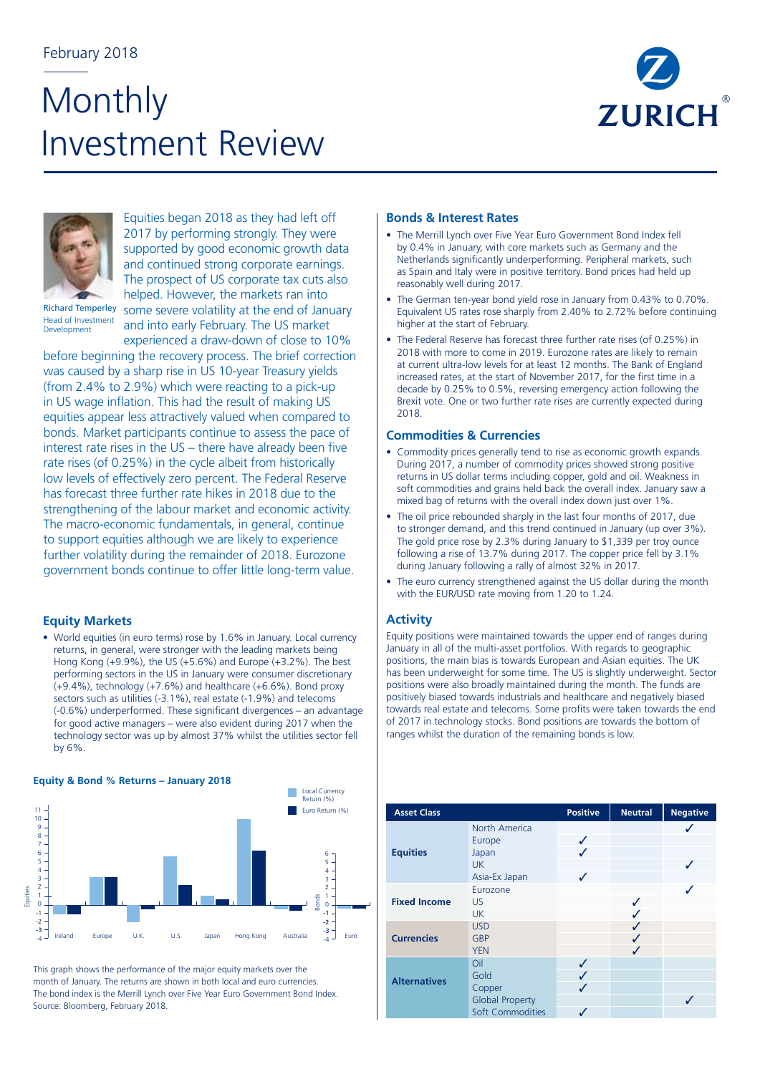## February 2018

# Monthly Investment Review





Equities began 2018 as they had left off 2017 by performing strongly. They were supported by good economic growth data and continued strong corporate earnings. The prospect of US corporate tax cuts also

Richard Temperley Head of Investment Development

helped. However, the markets ran into some severe volatility at the end of January and into early February. The US market experienced a draw-down of close to 10%

before beginning the recovery process. The brief correction was caused by a sharp rise in US 10-year Treasury yields (from 2.4% to 2.9%) which were reacting to a pick-up in US wage inflation. This had the result of making US equities appear less attractively valued when compared to bonds. Market participants continue to assess the pace of interest rate rises in the US – there have already been five rate rises (of 0.25%) in the cycle albeit from historically low levels of effectively zero percent. The Federal Reserve has forecast three further rate hikes in 2018 due to the strengthening of the labour market and economic activity. The macro-economic fundamentals, in general, continue to support equities although we are likely to experience further volatility during the remainder of 2018. Eurozone government bonds continue to offer little long-term value.

## **Equity Markets**

• World equities (in euro terms) rose by 1.6% in January. Local currency returns, in general, were stronger with the leading markets being Hong Kong (+9.9%), the US (+5.6%) and Europe (+3.2%). The best performing sectors in the US in January were consumer discretionary (+9.4%), technology (+7.6%) and healthcare (+6.6%). Bond proxy sectors such as utilities (-3.1%), real estate (-1.9%) and telecoms (-0.6%) underperformed. These significant divergences – an advantage for good active managers – were also evident during 2017 when the technology sector was up by almost 37% whilst the utilities sector fell by 6%.



This graph shows the performance of the major equity markets over the month of January. The returns are shown in both local and euro currencies. The bond index is the Merrill Lynch over Five Year Euro Government Bond Index. Source: Bloomberg, February 2018.

## **Bonds & Interest Rates**

- The Merrill Lynch over Five Year Euro Government Bond Index fell by 0.4% in January, with core markets such as Germany and the Netherlands significantly underperforming. Peripheral markets, such as Spain and Italy were in positive territory. Bond prices had held up reasonably well during 2017.
- The German ten-year bond yield rose in January from 0.43% to 0.70%. Equivalent US rates rose sharply from 2.40% to 2.72% before continuing higher at the start of February.
- The Federal Reserve has forecast three further rate rises (of 0.25%) in 2018 with more to come in 2019. Eurozone rates are likely to remain at current ultra-low levels for at least 12 months. The Bank of England increased rates, at the start of November 2017, for the first time in a decade by 0.25% to 0.5%, reversing emergency action following the Brexit vote. One or two further rate rises are currently expected during 2018.

## **Commodities & Currencies**

- Commodity prices generally tend to rise as economic growth expands. During 2017, a number of commodity prices showed strong positive returns in US dollar terms including copper, gold and oil. Weakness in soft commodities and grains held back the overall index. January saw a mixed bag of returns with the overall index down just over 1%.
- The oil price rebounded sharply in the last four months of 2017, due to stronger demand, and this trend continued in January (up over 3%). The gold price rose by 2.3% during January to \$1,339 per troy ounce following a rise of 13.7% during 2017. The copper price fell by 3.1% during January following a rally of almost 32% in 2017.
- The euro currency strengthened against the US dollar during the month with the EUR/USD rate moving from 1.20 to 1.24.

### **Activity**

Equity positions were maintained towards the upper end of ranges during January in all of the multi-asset portfolios. With regards to geographic positions, the main bias is towards European and Asian equities. The UK has been underweight for some time. The US is slightly underweight. Sector positions were also broadly maintained during the month. The funds are positively biased towards industrials and healthcare and negatively biased towards real estate and telecoms. Some profits were taken towards the end of 2017 in technology stocks. Bond positions are towards the bottom of ranges whilst the duration of the remaining bonds is low.

| <b>Asset Class</b>  |                        | <b>Positive</b> | <b>Neutral</b> | <b>Negative</b> |
|---------------------|------------------------|-----------------|----------------|-----------------|
|                     | North America          |                 |                |                 |
| <b>Equities</b>     | Europe                 | ✓               |                |                 |
|                     | Japan                  |                 |                |                 |
|                     | <b>UK</b>              |                 |                |                 |
|                     | Asia-Ex Japan          | J               |                |                 |
|                     | Eurozone               |                 |                |                 |
| <b>Fixed Income</b> | US.                    |                 |                |                 |
|                     | <b>UK</b>              |                 |                |                 |
|                     | <b>USD</b>             |                 | ✓              |                 |
| <b>Currencies</b>   | <b>GBP</b>             |                 | ✓              |                 |
|                     | <b>YEN</b>             |                 | ✓              |                 |
|                     | Oil                    | ✓               |                |                 |
| <b>Alternatives</b> | Gold                   | ✓               |                |                 |
|                     | Copper                 |                 |                |                 |
|                     | <b>Global Property</b> |                 |                |                 |
|                     | Soft Commodities       |                 |                |                 |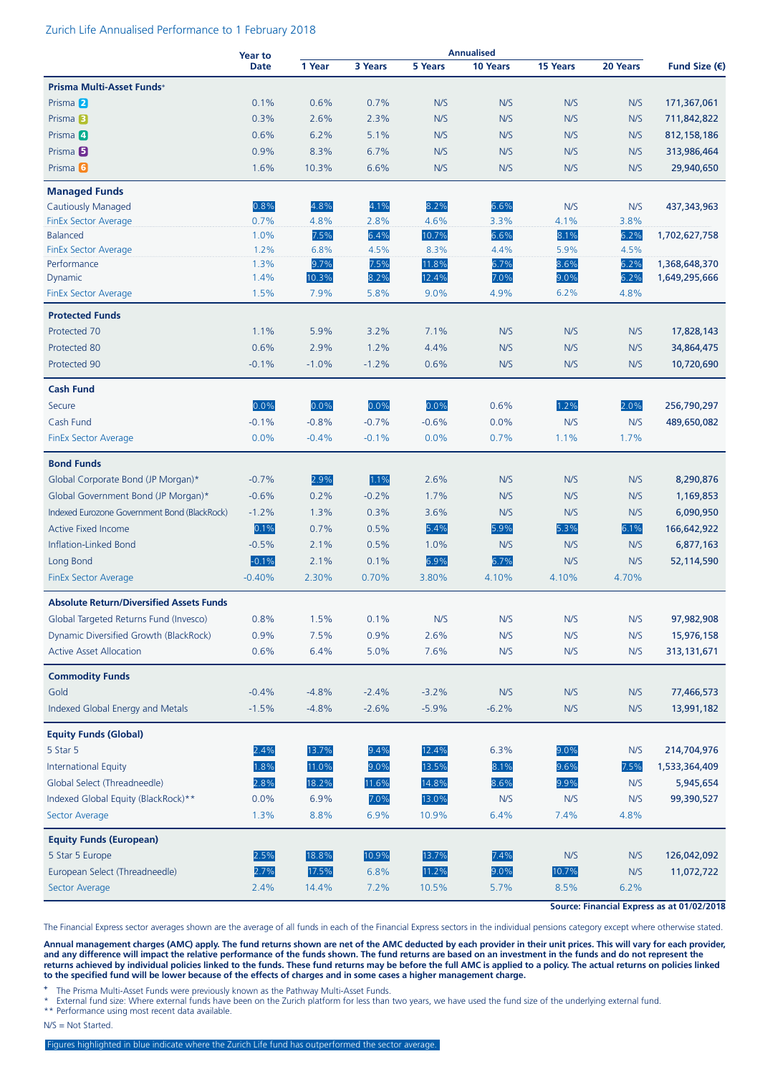#### Zurich Life Annualised Performance to 1 February 2018

|                                                 | <b>Year to</b> | <b>Annualised</b> |         |         |          |          |          |                        |
|-------------------------------------------------|----------------|-------------------|---------|---------|----------|----------|----------|------------------------|
|                                                 | <b>Date</b>    | 1 Year            | 3 Years | 5 Years | 10 Years | 15 Years | 20 Years | Fund Size $(\epsilon)$ |
| Prisma Multi-Asset Funds+                       |                |                   |         |         |          |          |          |                        |
| Prisma 2                                        | 0.1%           | 0.6%              | 0.7%    | N/S     | N/S      | N/S      | N/S      | 171,367,061            |
| Prisma <sup>B</sup>                             | 0.3%           | 2.6%              | 2.3%    | N/S     | N/S      | N/S      | N/S      | 711,842,822            |
| Prisma 4                                        | 0.6%           | 6.2%              | 5.1%    | N/S     | N/S      | N/S      | N/S      | 812, 158, 186          |
| Prisma <sup>5</sup>                             | 0.9%           | 8.3%              | 6.7%    | N/S     | N/S      | N/S      | N/S      | 313,986,464            |
| Prisma <sup>6</sup>                             | 1.6%           | 10.3%             | 6.6%    | N/S     | N/S      | N/S      | N/S      | 29,940,650             |
| <b>Managed Funds</b>                            |                |                   |         |         |          |          |          |                        |
| <b>Cautiously Managed</b>                       | 0.8%           | 4.8%              | 4.1%    | 8.2%    | 6.6%     | N/S      | N/S      | 437,343,963            |
| <b>FinEx Sector Average</b>                     | 0.7%           | 4.8%              | 2.8%    | 4.6%    | 3.3%     | 4.1%     | 3.8%     |                        |
| <b>Balanced</b>                                 | 1.0%           | 7.5%              | 6.4%    | 10.7%   | 6.6%     | 8.1%     | 6.2%     | 1,702,627,758          |
| <b>FinEx Sector Average</b>                     | 1.2%           | 6.8%              | 4.5%    | 8.3%    | 4.4%     | 5.9%     | 4.5%     |                        |
| Performance                                     | 1.3%           | 9.7%              | 7.5%    | 11.8%   | 6.7%     | 8.6%     | 6.2%     | 1,368,648,370          |
| Dynamic                                         | 1.4%           | 10.3%             | 8.2%    | 12.4%   | 7.0%     | 9.0%     | 6.2%     | 1,649,295,666          |
| <b>FinEx Sector Average</b>                     | 1.5%           | 7.9%              | 5.8%    | 9.0%    | 4.9%     | 6.2%     | 4.8%     |                        |
| <b>Protected Funds</b>                          |                |                   |         |         |          |          |          |                        |
| Protected 70                                    | 1.1%           | 5.9%              | 3.2%    | 7.1%    | N/S      | N/S      | N/S      | 17,828,143             |
| Protected 80                                    | 0.6%           | 2.9%              | 1.2%    | 4.4%    | N/S      | N/S      | N/S      | 34,864,475             |
| Protected 90                                    | $-0.1%$        | $-1.0%$           | $-1.2%$ | 0.6%    | N/S      | N/S      | N/S      | 10,720,690             |
| <b>Cash Fund</b>                                |                |                   |         |         |          |          |          |                        |
| Secure                                          | 0.0%           | 0.0%              | 0.0%    | 0.0%    | 0.6%     | 1.2%     | 2.0%     | 256,790,297            |
| Cash Fund                                       | $-0.1%$        | $-0.8%$           | $-0.7%$ | $-0.6%$ | 0.0%     | N/S      | N/S      | 489,650,082            |
| <b>FinEx Sector Average</b>                     | 0.0%           | $-0.4%$           | $-0.1%$ | 0.0%    | 0.7%     | 1.1%     | 1.7%     |                        |
| <b>Bond Funds</b>                               |                |                   |         |         |          |          |          |                        |
| Global Corporate Bond (JP Morgan)*              | $-0.7%$        | 2.9%              | 1.1%    | 2.6%    | N/S      | N/S      | N/S      | 8,290,876              |
| Global Government Bond (JP Morgan)*             | $-0.6%$        | 0.2%              | $-0.2%$ | 1.7%    | N/S      | N/S      | N/S      | 1,169,853              |
| Indexed Eurozone Government Bond (BlackRock)    | $-1.2%$        | 1.3%              | 0.3%    | 3.6%    | N/S      | N/S      | N/S      | 6,090,950              |
|                                                 | 0.1%           |                   |         |         |          |          |          |                        |
| <b>Active Fixed Income</b>                      |                | 0.7%              | 0.5%    | 5.4%    | 5.9%     | 5.3%     | 6.1%     | 166,642,922            |
| Inflation-Linked Bond                           | $-0.5%$        | 2.1%              | 0.5%    | 1.0%    | N/S      | N/S      | N/S      | 6,877,163              |
| Long Bond                                       | $-0.1%$        | 2.1%              | 0.1%    | 6.9%    | 6.7%     | N/S      | N/S      | 52,114,590             |
| <b>FinEx Sector Average</b>                     | $-0.40%$       | 2.30%             | 0.70%   | 3.80%   | 4.10%    | 4.10%    | 4.70%    |                        |
| <b>Absolute Return/Diversified Assets Funds</b> |                |                   |         |         |          |          |          |                        |
| Global Targeted Returns Fund (Invesco)          | 0.8%           | 1.5%              | 0.1%    | N/S     | N/S      | N/S      | N/S      | 97,982,908             |
| Dynamic Diversified Growth (BlackRock)          | 0.9%           | 7.5%              | 0.9%    | 2.6%    | N/S      | N/S      | N/S      | 15,976,158             |
| <b>Active Asset Allocation</b>                  | 0.6%           | 6.4%              | 5.0%    | 7.6%    | N/S      | N/S      | N/S      | 313,131,671            |
| <b>Commodity Funds</b>                          |                |                   |         |         |          |          |          |                        |
| Gold                                            | $-0.4%$        | $-4.8%$           | $-2.4%$ | $-3.2%$ | N/S      | N/S      | N/S      | 77,466,573             |
| Indexed Global Energy and Metals                | $-1.5%$        | $-4.8%$           | $-2.6%$ | $-5.9%$ | $-6.2%$  | N/S      | N/S      | 13,991,182             |
| <b>Equity Funds (Global)</b>                    |                |                   |         |         |          |          |          |                        |
| 5 Star 5                                        | 2.4%           | 13.7%             | 9.4%    | 12.4%   | 6.3%     | 9.0%     | N/S      | 214,704,976            |
| <b>International Equity</b>                     | 1.8%           | 11.0%             | 9.0%    | 13.5%   | 8.1%     | 9.6%     | 7.5%     | 1,533,364,409          |
| Global Select (Threadneedle)                    | 2.8%           | 18.2%             | 11.6%   | 14.8%   | 8.6%     | 9.9%     | N/S      | 5,945,654              |
| Indexed Global Equity (BlackRock)**             | 0.0%           | 6.9%              | 7.0%    | 13.0%   | N/S      | N/S      | N/S      | 99,390,527             |
| Sector Average                                  | 1.3%           | 8.8%              | 6.9%    | 10.9%   | 6.4%     | 7.4%     | 4.8%     |                        |
| <b>Equity Funds (European)</b>                  |                |                   |         |         |          |          |          |                        |
| 5 Star 5 Europe                                 | 2.5%           | 18.8%             | 10.9%   | 13.7%   | 7.4%     | N/S      | N/S      | 126,042,092            |
| European Select (Threadneedle)                  | 2.7%           | 17.5%             | 6.8%    | 11.2%   | 9.0%     | 10.7%    | N/S      | 11,072,722             |
| Sector Average                                  | 2.4%           | 14.4%             | 7.2%    | 10.5%   | 5.7%     | 8.5%     | 6.2%     |                        |
|                                                 |                |                   |         |         |          |          |          |                        |

**Source: Financial Express as at 01/02/2018**

The Financial Express sector averages shown are the average of all funds in each of the Financial Express sectors in the individual pensions category except where otherwise stated.

**Annual management charges (AMC) apply. The fund returns shown are net of the AMC deducted by each provider in their unit prices. This will vary for each provider, and any difference will impact the relative performance of the funds shown. The fund returns are based on an investment in the funds and do not represent the returns achieved by individual policies linked to the funds. These fund returns may be before the full AMC is applied to a policy. The actual returns on policies linked to the specified fund will be lower because of the effects of charges and in some cases a higher management charge.**

**<sup>+</sup>** The Prisma Multi-Asset Funds were previously known as the Pathway Multi-Asset Funds.

External fund size: Where external funds have been on the Zurich platform for less than two years, we have used the fund size of the underlying external fund. \*\* Performance using most recent data available.

N/S = Not Started.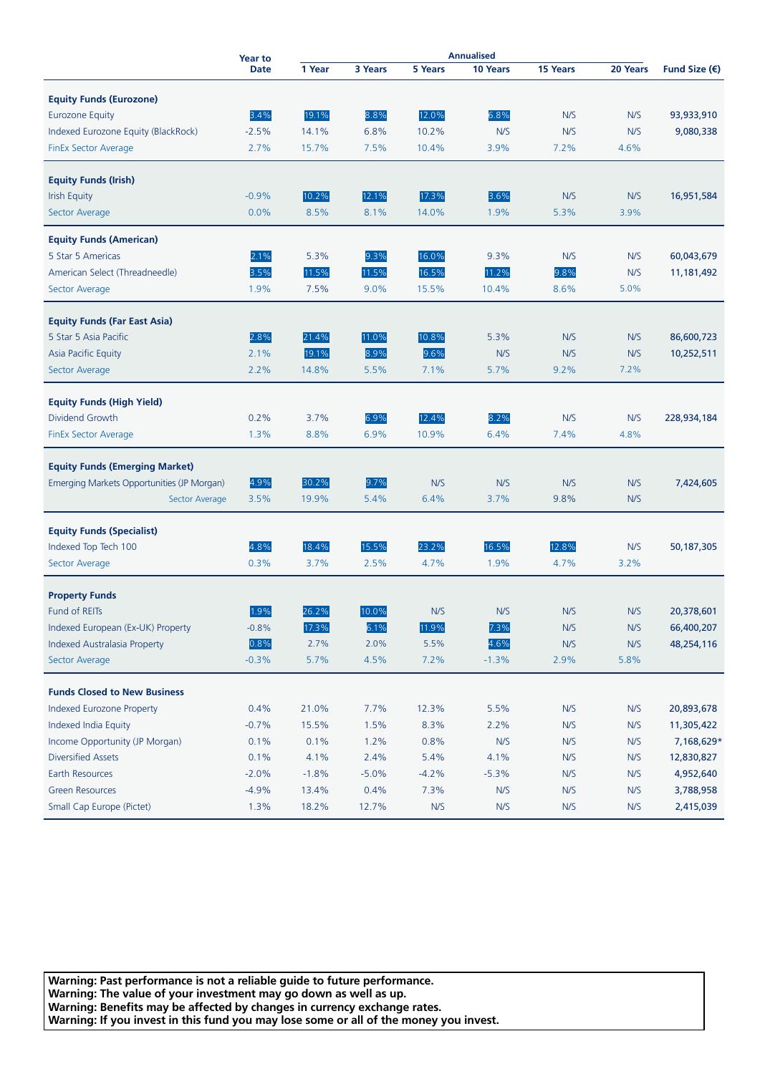|                                            | <b>Year to</b> | <b>Annualised</b> |         |                |          |          |          |                        |
|--------------------------------------------|----------------|-------------------|---------|----------------|----------|----------|----------|------------------------|
|                                            | <b>Date</b>    | 1 Year            | 3 Years | <b>5 Years</b> | 10 Years | 15 Years | 20 Years | Fund Size $(\epsilon)$ |
| <b>Equity Funds (Eurozone)</b>             |                |                   |         |                |          |          |          |                        |
| <b>Eurozone Equity</b>                     | 3.4%           | 19.1%             | 8.8%    | 12.0%          | 6.8%     | N/S      | N/S      | 93,933,910             |
| Indexed Eurozone Equity (BlackRock)        | $-2.5%$        | 14.1%             | 6.8%    | 10.2%          | N/S      | N/S      | N/S      | 9,080,338              |
| FinEx Sector Average                       | 2.7%           | 15.7%             | 7.5%    | 10.4%          | 3.9%     | 7.2%     | 4.6%     |                        |
|                                            |                |                   |         |                |          |          |          |                        |
| <b>Equity Funds (Irish)</b>                |                |                   |         |                |          |          |          |                        |
| <b>Irish Equity</b>                        | $-0.9%$        | 10.2%             | 12.1%   | 17.3%          | 3.6%     | N/S      | N/S      | 16,951,584             |
| Sector Average                             | 0.0%           | 8.5%              | 8.1%    | 14.0%          | 1.9%     | 5.3%     | 3.9%     |                        |
| <b>Equity Funds (American)</b>             |                |                   |         |                |          |          |          |                        |
| 5 Star 5 Americas                          | 2.1%           | 5.3%              | 9.3%    | 16.0%          | 9.3%     | N/S      | N/S      | 60,043,679             |
| American Select (Threadneedle)             | 3.5%           | 11.5%             | 11.5%   | 16.5%          | 11.2%    | 9.8%     | N/S      | 11,181,492             |
| Sector Average                             | 1.9%           | 7.5%              | 9.0%    | 15.5%          | 10.4%    | 8.6%     | 5.0%     |                        |
|                                            |                |                   |         |                |          |          |          |                        |
| <b>Equity Funds (Far East Asia)</b>        |                |                   |         |                |          |          |          |                        |
| 5 Star 5 Asia Pacific                      | 2.8%           | 21.4%             | 11.0%   | 10.8%          | 5.3%     | N/S      | N/S      | 86,600,723             |
| Asia Pacific Equity                        | 2.1%           | 19.1%             | 8.9%    | 9.6%           | N/S      | N/S      | N/S      | 10,252,511             |
| Sector Average                             | 2.2%           | 14.8%             | 5.5%    | 7.1%           | 5.7%     | 9.2%     | 7.2%     |                        |
|                                            |                |                   |         |                |          |          |          |                        |
| <b>Equity Funds (High Yield)</b>           |                |                   |         |                |          |          |          |                        |
| Dividend Growth                            | 0.2%           | 3.7%              | 6.9%    | 12.4%          | 8.2%     | N/S      | N/S      | 228,934,184            |
| FinEx Sector Average                       | 1.3%           | 8.8%              | 6.9%    | 10.9%          | 6.4%     | 7.4%     | 4.8%     |                        |
| <b>Equity Funds (Emerging Market)</b>      |                |                   |         |                |          |          |          |                        |
| Emerging Markets Opportunities (JP Morgan) | 4.9%           | 30.2%             | 9.7%    | N/S            | N/S      | N/S      | N/S      | 7,424,605              |
| Sector Average                             | 3.5%           | 19.9%             | 5.4%    | 6.4%           | 3.7%     | 9.8%     | N/S      |                        |
|                                            |                |                   |         |                |          |          |          |                        |
| <b>Equity Funds (Specialist)</b>           |                |                   |         |                |          |          |          |                        |
| Indexed Top Tech 100                       | 4.8%           | 18.4%             | 15.5%   | 23.2%          | 16.5%    | 12.8%    | N/S      | 50,187,305             |
| Sector Average                             | 0.3%           | 3.7%              | 2.5%    | 4.7%           | 1.9%     | 4.7%     | 3.2%     |                        |
| <b>Property Funds</b>                      |                |                   |         |                |          |          |          |                        |
| <b>Fund of REITs</b>                       | 1.9%           | 26.2%             | 10.0%   | N/S            | N/S      | N/S      | N/S      | 20,378,601             |
| Indexed European (Ex-UK) Property          | $-0.8%$        | 17.3%             | 6.1%    | 11.9%          | 7.3%     | N/S      | N/S      | 66,400,207             |
| Indexed Australasia Property               | 0.8%           | 2.7%              | 2.0%    | 5.5%           | 4.6%     | N/S      | N/S      | 48,254,116             |
| Sector Average                             | $-0.3%$        | 5.7%              | 4.5%    | 7.2%           | $-1.3%$  | 2.9%     | 5.8%     |                        |
|                                            |                |                   |         |                |          |          |          |                        |
| <b>Funds Closed to New Business</b>        |                |                   |         |                |          |          |          |                        |
| Indexed Eurozone Property                  | 0.4%           | 21.0%             | 7.7%    | 12.3%          | 5.5%     | N/S      | N/S      | 20,893,678             |
| Indexed India Equity                       | $-0.7%$        | 15.5%             | 1.5%    | 8.3%           | 2.2%     | N/S      | N/S      | 11,305,422             |
| Income Opportunity (JP Morgan)             | 0.1%           | 0.1%              | 1.2%    | 0.8%           | N/S      | N/S      | N/S      | 7,168,629*             |
| <b>Diversified Assets</b>                  | 0.1%           | 4.1%              | 2.4%    | 5.4%           | 4.1%     | N/S      | N/S      | 12,830,827             |
| Earth Resources                            | $-2.0%$        | $-1.8%$           | $-5.0%$ | $-4.2%$        | $-5.3%$  | N/S      | N/S      | 4,952,640              |
| <b>Green Resources</b>                     | $-4.9%$        | 13.4%             | 0.4%    | 7.3%           | N/S      | N/S      | N/S      | 3,788,958              |
| Small Cap Europe (Pictet)                  | 1.3%           | 18.2%             | 12.7%   | N/S            | N/S      | N/S      | N/S      | 2,415,039              |

**Warning: Past performance is not a reliable guide to future performance. Warning: The value of your investment may go down as well as up. Warning: Benefits may be affected by changes in currency exchange rates. Warning: If you invest in this fund you may lose some or all of the money you invest.**